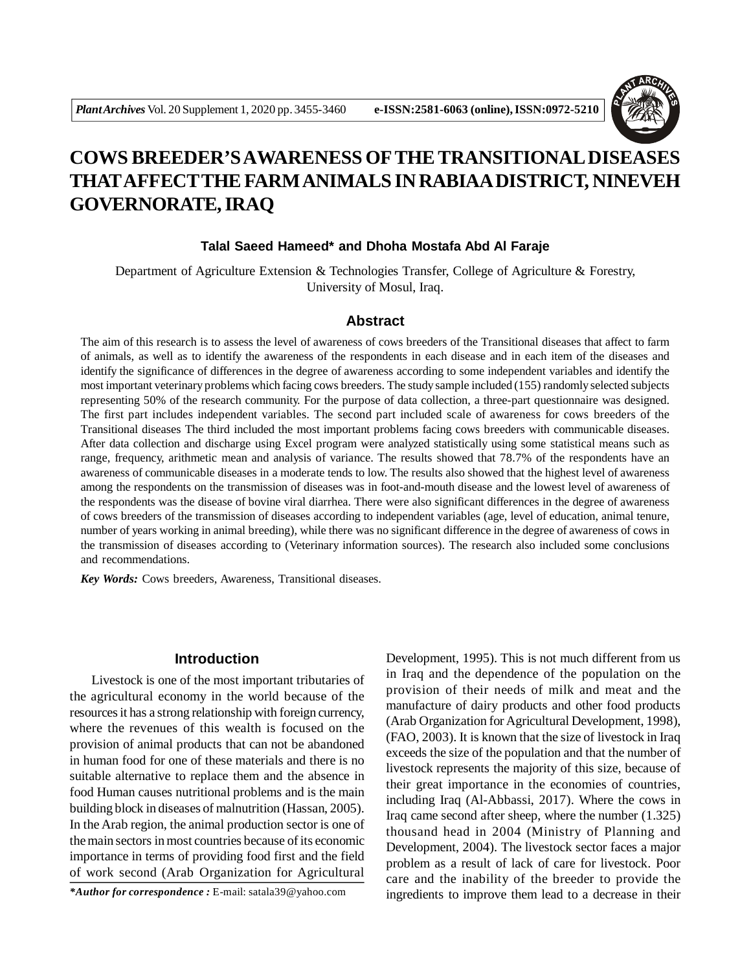

# **COWS BREEDER'S AWARENESS OFTHE TRANSITIONAL DISEASES THATAFFECTTHE FARM ANIMALS IN RABIAA DISTRICT, NINEVEH GOVERNORATE, IRAQ**

## **Talal Saeed Hameed\* and Dhoha Mostafa Abd Al Faraje**

Department of Agriculture Extension & Technologies Transfer, College of Agriculture & Forestry, University of Mosul, Iraq.

#### **Abstract**

The aim of this research is to assess the level of awareness of cows breeders of the Transitional diseases that affect to farm of animals, as well as to identify the awareness of the respondents in each disease and in each item of the diseases and identify the significance of differences in the degree of awareness according to some independent variables and identify the most important veterinary problems which facing cows breeders. The study sample included (155) randomly selected subjects representing 50% of the research community. For the purpose of data collection, a three-part questionnaire was designed. The first part includes independent variables. The second part included scale of awareness for cows breeders of the Transitional diseases The third included the most important problems facing cows breeders with communicable diseases. After data collection and discharge using Excel program were analyzed statistically using some statistical means such as range, frequency, arithmetic mean and analysis of variance. The results showed that 78.7% of the respondents have an awareness of communicable diseases in a moderate tends to low. The results also showed that the highest level of awareness among the respondents on the transmission of diseases was in foot-and-mouth disease and the lowest level of awareness of the respondents was the disease of bovine viral diarrhea. There were also significant differences in the degree of awareness of cows breeders of the transmission of diseases according to independent variables (age, level of education, animal tenure, number of years working in animal breeding), while there was no significant difference in the degree of awareness of cows in the transmission of diseases according to (Veterinary information sources). The research also included some conclusions and recommendations.

*Key Words:* Cows breeders, Awareness, Transitional diseases.

#### **Introduction**

Livestock is one of the most important tributaries of the agricultural economy in the world because of the resources it has a strong relationship with foreign currency, where the revenues of this wealth is focused on the provision of animal products that can not be abandoned in human food for one of these materials and there is no suitable alternative to replace them and the absence in food Human causes nutritional problems and is the main building block in diseases of malnutrition (Hassan, 2005). In the Arab region, the animal production sector is one of the main sectors in most countries because of its economic importance in terms of providing food first and the field of work second (Arab Organization for Agricultural

*\*Author for correspondence :* E-mail: satala39@yahoo.com

Development, 1995). This is not much different from us in Iraq and the dependence of the population on the provision of their needs of milk and meat and the manufacture of dairy products and other food products (Arab Organization for Agricultural Development, 1998), (FAO, 2003). It is known that the size of livestock in Iraq exceeds the size of the population and that the number of livestock represents the majority of this size, because of their great importance in the economies of countries, including Iraq (Al-Abbassi, 2017). Where the cows in Iraq came second after sheep, where the number (1.325) thousand head in 2004 (Ministry of Planning and Development, 2004). The livestock sector faces a major problem as a result of lack of care for livestock. Poor care and the inability of the breeder to provide the ingredients to improve them lead to a decrease in their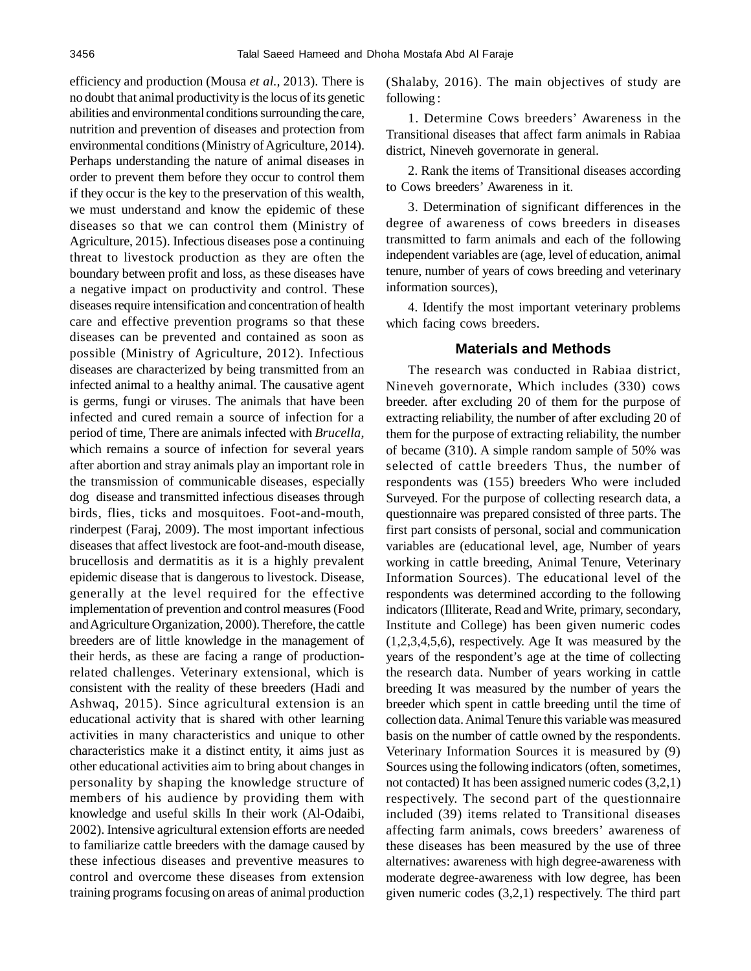efficiency and production (Mousa *et al.,* 2013). There is no doubt that animal productivity is the locus of its genetic abilities and environmental conditions surrounding the care, nutrition and prevention of diseases and protection from environmental conditions (Ministry of Agriculture, 2014). Perhaps understanding the nature of animal diseases in order to prevent them before they occur to control them if they occur is the key to the preservation of this wealth, we must understand and know the epidemic of these diseases so that we can control them (Ministry of Agriculture, 2015). Infectious diseases pose a continuing threat to livestock production as they are often the boundary between profit and loss, as these diseases have a negative impact on productivity and control. These diseases require intensification and concentration of health care and effective prevention programs so that these diseases can be prevented and contained as soon as possible (Ministry of Agriculture, 2012). Infectious diseases are characterized by being transmitted from an infected animal to a healthy animal. The causative agent is germs, fungi or viruses. The animals that have been infected and cured remain a source of infection for a period of time, There are animals infected with *Brucella*, which remains a source of infection for several years after abortion and stray animals play an important role in the transmission of communicable diseases, especially dog disease and transmitted infectious diseases through birds, flies, ticks and mosquitoes. Foot-and-mouth, rinderpest (Faraj, 2009). The most important infectious diseases that affect livestock are foot-and-mouth disease, brucellosis and dermatitis as it is a highly prevalent epidemic disease that is dangerous to livestock. Disease, generally at the level required for the effective implementation of prevention and control measures (Food and Agriculture Organization, 2000). Therefore, the cattle breeders are of little knowledge in the management of their herds, as these are facing a range of productionrelated challenges. Veterinary extensional, which is consistent with the reality of these breeders (Hadi and Ashwaq, 2015). Since agricultural extension is an educational activity that is shared with other learning activities in many characteristics and unique to other characteristics make it a distinct entity, it aims just as other educational activities aim to bring about changes in personality by shaping the knowledge structure of members of his audience by providing them with knowledge and useful skills In their work (Al-Odaibi, 2002). Intensive agricultural extension efforts are needed to familiarize cattle breeders with the damage caused by these infectious diseases and preventive measures to control and overcome these diseases from extension training programs focusing on areas of animal production (Shalaby, 2016). The main objectives of study are following :

1. Determine Cows breeders' Awareness in the Transitional diseases that affect farm animals in Rabiaa district, Nineveh governorate in general.

2. Rank the items of Transitional diseases according to Cows breeders' Awareness in it.

3. Determination of significant differences in the degree of awareness of cows breeders in diseases transmitted to farm animals and each of the following independent variables are (age, level of education, animal tenure, number of years of cows breeding and veterinary information sources),

4. Identify the most important veterinary problems which facing cows breeders.

## **Materials and Methods**

The research was conducted in Rabiaa district, Nineveh governorate, Which includes (330) cows breeder. after excluding 20 of them for the purpose of extracting reliability, the number of after excluding 20 of them for the purpose of extracting reliability, the number of became (310). A simple random sample of 50% was selected of cattle breeders Thus, the number of respondents was (155) breeders Who were included Surveyed. For the purpose of collecting research data, a questionnaire was prepared consisted of three parts. The first part consists of personal, social and communication variables are (educational level, age, Number of years working in cattle breeding, Animal Tenure, Veterinary Information Sources). The educational level of the respondents was determined according to the following indicators (Illiterate, Read and Write, primary, secondary, Institute and College) has been given numeric codes (1,2,3,4,5,6), respectively. Age It was measured by the years of the respondent's age at the time of collecting the research data. Number of years working in cattle breeding It was measured by the number of years the breeder which spent in cattle breeding until the time of collection data. Animal Tenure this variable was measured basis on the number of cattle owned by the respondents. Veterinary Information Sources it is measured by (9) Sources using the following indicators (often, sometimes, not contacted) It has been assigned numeric codes (3,2,1) respectively. The second part of the questionnaire included (39) items related to Transitional diseases affecting farm animals, cows breeders' awareness of these diseases has been measured by the use of three alternatives: awareness with high degree-awareness with moderate degree-awareness with low degree, has been given numeric codes (3,2,1) respectively. The third part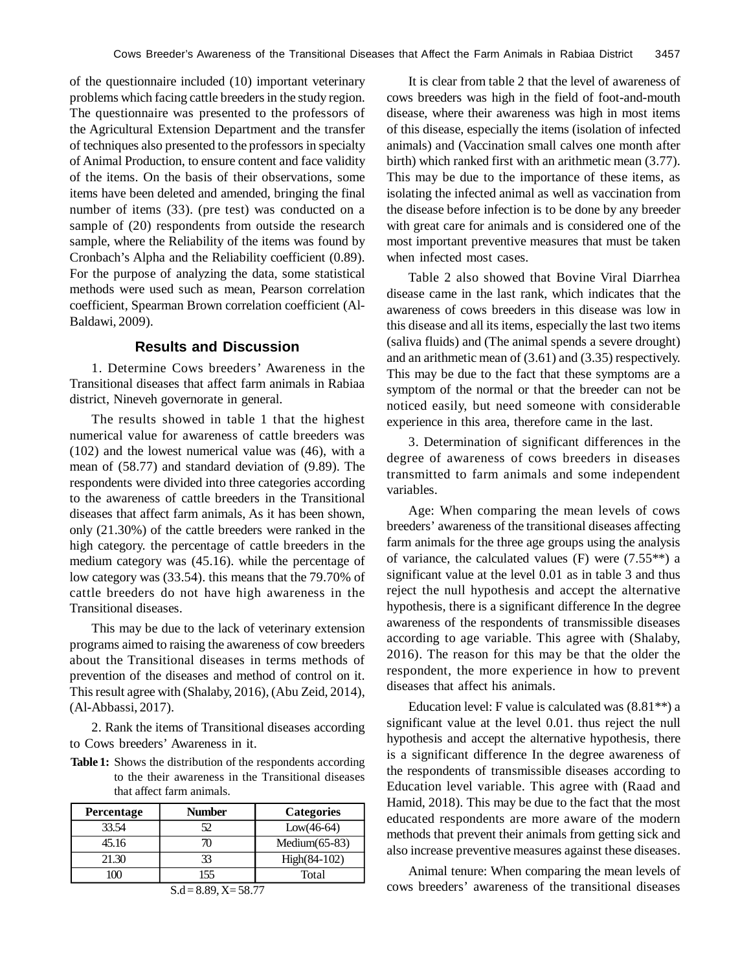of the questionnaire included (10) important veterinary problems which facing cattle breeders in the study region. The questionnaire was presented to the professors of the Agricultural Extension Department and the transfer of techniques also presented to the professors in specialty of Animal Production, to ensure content and face validity of the items. On the basis of their observations, some items have been deleted and amended, bringing the final number of items (33). (pre test) was conducted on a sample of (20) respondents from outside the research sample, where the Reliability of the items was found by Cronbach's Alpha and the Reliability coefficient (0.89). For the purpose of analyzing the data, some statistical methods were used such as mean, Pearson correlation coefficient, Spearman Brown correlation coefficient (Al-Baldawi, 2009).

## **Results and Discussion**

1. Determine Cows breeders' Awareness in the Transitional diseases that affect farm animals in Rabiaa district, Nineveh governorate in general.

The results showed in table 1 that the highest numerical value for awareness of cattle breeders was (102) and the lowest numerical value was (46), with a mean of (58.77) and standard deviation of (9.89). The respondents were divided into three categories according to the awareness of cattle breeders in the Transitional diseases that affect farm animals, As it has been shown, only (21.30%) of the cattle breeders were ranked in the high category. the percentage of cattle breeders in the medium category was (45.16). while the percentage of low category was (33.54). this means that the 79.70% of cattle breeders do not have high awareness in the Transitional diseases.

This may be due to the lack of veterinary extension programs aimed to raising the awareness of cow breeders about the Transitional diseases in terms methods of prevention of the diseases and method of control on it. This result agree with (Shalaby, 2016), (Abu Zeid, 2014), (Al-Abbassi, 2017).

2. Rank the items of Transitional diseases according to Cows breeders' Awareness in it.

**Table 1:** Shows the distribution of the respondents according to the their awareness in the Transitional diseases that affect farm animals.

| <b>Percentage</b> | <b>Number</b> | <b>Categories</b> |
|-------------------|---------------|-------------------|
| 33.54             | 52            | $Low(46-64)$      |
| 45.16             |               | Medium $(65-83)$  |
| 21.30             | 33            | $High(84-102)$    |
|                   |               | Total             |

$$
S.d = 8.89, X = 58.77
$$

It is clear from table 2 that the level of awareness of cows breeders was high in the field of foot-and-mouth disease, where their awareness was high in most items of this disease, especially the items (isolation of infected animals) and (Vaccination small calves one month after birth) which ranked first with an arithmetic mean (3.77). This may be due to the importance of these items, as isolating the infected animal as well as vaccination from the disease before infection is to be done by any breeder with great care for animals and is considered one of the most important preventive measures that must be taken when infected most cases.

Table 2 also showed that Bovine Viral Diarrhea disease came in the last rank, which indicates that the awareness of cows breeders in this disease was low in this disease and all its items, especially the last two items (saliva fluids) and (The animal spends a severe drought) and an arithmetic mean of (3.61) and (3.35) respectively. This may be due to the fact that these symptoms are a symptom of the normal or that the breeder can not be noticed easily, but need someone with considerable experience in this area, therefore came in the last.

3. Determination of significant differences in the degree of awareness of cows breeders in diseases transmitted to farm animals and some independent variables.

Age: When comparing the mean levels of cows breeders' awareness of the transitional diseases affecting farm animals for the three age groups using the analysis of variance, the calculated values (F) were  $(7.55**)$  a significant value at the level 0.01 as in table 3 and thus reject the null hypothesis and accept the alternative hypothesis, there is a significant difference In the degree awareness of the respondents of transmissible diseases according to age variable. This agree with (Shalaby, 2016). The reason for this may be that the older the respondent, the more experience in how to prevent diseases that affect his animals.

Education level: F value is calculated was  $(8.81**)$  a significant value at the level 0.01. thus reject the null hypothesis and accept the alternative hypothesis, there is a significant difference In the degree awareness of the respondents of transmissible diseases according to Education level variable. This agree with (Raad and Hamid, 2018). This may be due to the fact that the most educated respondents are more aware of the modern methods that prevent their animals from getting sick and also increase preventive measures against these diseases.

Animal tenure: When comparing the mean levels of cows breeders' awareness of the transitional diseases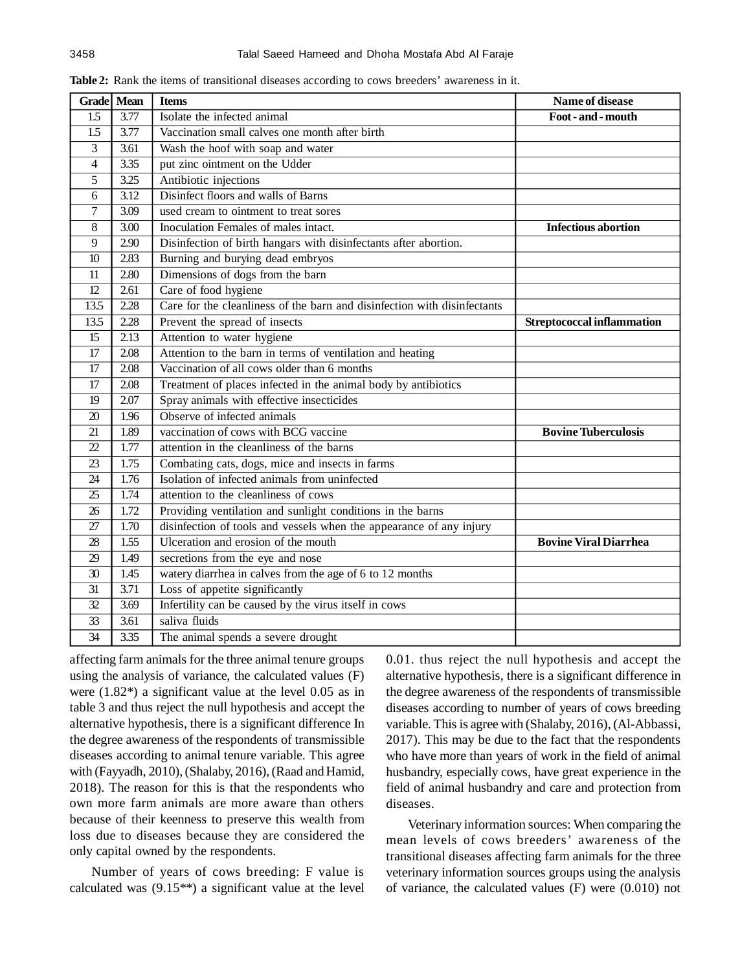|                  | Grade Mean | <b>Items</b>                                                             | Name of disease              |  |  |
|------------------|------------|--------------------------------------------------------------------------|------------------------------|--|--|
| 1.5              | 3.77       | Isolate the infected animal<br>Foot - and - mouth                        |                              |  |  |
| 1.5              | 3.77       | Vaccination small calves one month after birth                           |                              |  |  |
| 3                | 3.61       | Wash the hoof with soap and water                                        |                              |  |  |
| 4                | 3.35       | put zinc ointment on the Udder                                           |                              |  |  |
| 5                | 3.25       | Antibiotic injections                                                    |                              |  |  |
| 6                | 3.12       | Disinfect floors and walls of Barns                                      |                              |  |  |
| $\boldsymbol{7}$ | 3.09       | used cream to ointment to treat sores                                    |                              |  |  |
| 8                | 3.00       | Inoculation Females of males intact.                                     | <b>Infectious abortion</b>   |  |  |
| 9                | 2.90       | Disinfection of birth hangars with disinfectants after abortion.         |                              |  |  |
| 10               | 2.83       | Burning and burying dead embryos                                         |                              |  |  |
| 11               | 2.80       | Dimensions of dogs from the barn                                         |                              |  |  |
| 12               | 2.61       | Care of food hygiene                                                     |                              |  |  |
| 13.5             | 2.28       | Care for the cleanliness of the barn and disinfection with disinfectants |                              |  |  |
| 13.5             | 2.28       | Prevent the spread of insects<br><b>Streptococcal inflammation</b>       |                              |  |  |
| $\overline{15}$  | 2.13       | Attention to water hygiene                                               |                              |  |  |
| 17               | 2.08       | Attention to the barn in terms of ventilation and heating                |                              |  |  |
| 17               | 2.08       | Vaccination of all cows older than 6 months                              |                              |  |  |
| 17               | 2.08       | Treatment of places infected in the animal body by antibiotics           |                              |  |  |
| 19               | 2.07       | Spray animals with effective insecticides                                |                              |  |  |
| 20               | 1.96       | Observe of infected animals                                              |                              |  |  |
| 21               | 1.89       | vaccination of cows with BCG vaccine<br><b>Bovine Tuberculosis</b>       |                              |  |  |
| 22               | 1.77       | attention in the cleanliness of the barns                                |                              |  |  |
| 23               | 1.75       | Combating cats, dogs, mice and insects in farms                          |                              |  |  |
| 24               | 1.76       | Isolation of infected animals from uninfected                            |                              |  |  |
| 25               | 1.74       | attention to the cleanliness of cows                                     |                              |  |  |
| 26               | 1.72       | Providing ventilation and sunlight conditions in the barns               |                              |  |  |
| 27               | 1.70       | disinfection of tools and vessels when the appearance of any injury      |                              |  |  |
| 28               | 1.55       | Ulceration and erosion of the mouth                                      | <b>Bovine Viral Diarrhea</b> |  |  |
| 29               | 1.49       | secretions from the eye and nose                                         |                              |  |  |
| 30               | 1.45       | watery diarrhea in calves from the age of 6 to 12 months                 |                              |  |  |
| 31               | 3.71       | Loss of appetite significantly                                           |                              |  |  |
| 32               | 3.69       | Infertility can be caused by the virus itself in cows                    |                              |  |  |
| 33               | 3.61       | saliva fluids                                                            |                              |  |  |
| $\overline{34}$  | 3.35       | The animal spends a severe drought                                       |                              |  |  |

**Table 2:** Rank the items of transitional diseases according to cows breeders' awareness in it.

affecting farm animals for the three animal tenure groups using the analysis of variance, the calculated values (F) were (1.82\*) a significant value at the level 0.05 as in table 3 and thus reject the null hypothesis and accept the alternative hypothesis, there is a significant difference In the degree awareness of the respondents of transmissible diseases according to animal tenure variable. This agree with (Fayyadh, 2010), (Shalaby, 2016), (Raad and Hamid, 2018). The reason for this is that the respondents who own more farm animals are more aware than others because of their keenness to preserve this wealth from loss due to diseases because they are considered the only capital owned by the respondents.

Number of years of cows breeding: F value is calculated was (9.15\*\*) a significant value at the level 0.01. thus reject the null hypothesis and accept the alternative hypothesis, there is a significant difference in the degree awareness of the respondents of transmissible diseases according to number of years of cows breeding variable. This is agree with (Shalaby, 2016), (Al-Abbassi, 2017). This may be due to the fact that the respondents who have more than years of work in the field of animal husbandry, especially cows, have great experience in the field of animal husbandry and care and protection from diseases.

Veterinary information sources: When comparing the mean levels of cows breeders' awareness of the transitional diseases affecting farm animals for the three veterinary information sources groups using the analysis of variance, the calculated values (F) were (0.010) not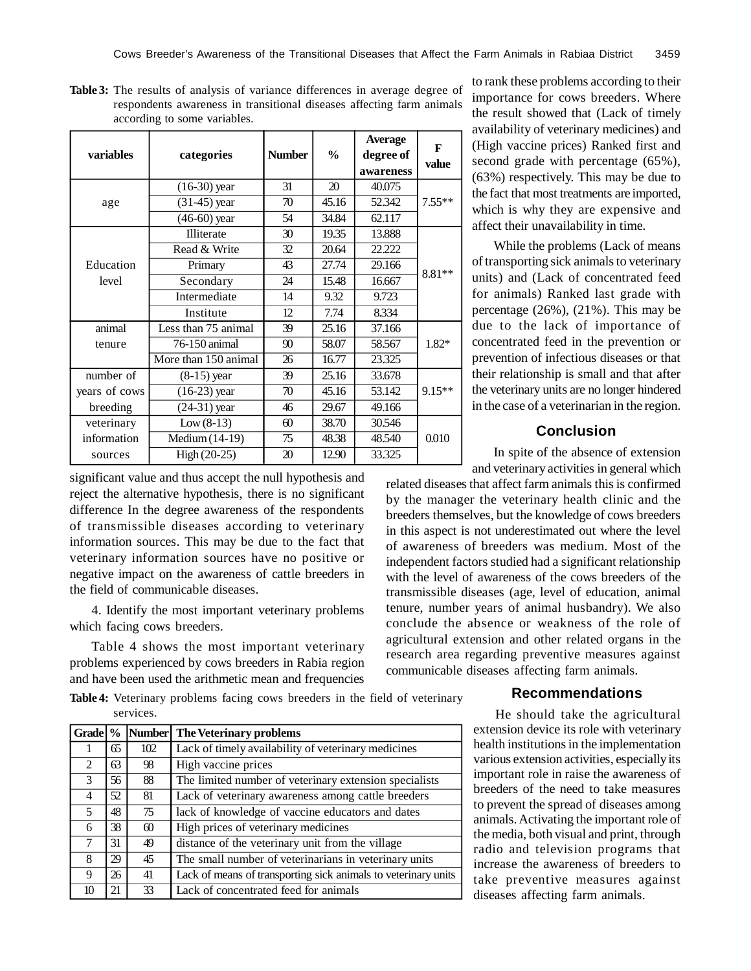**Table 3:** The results of analysis of variance differences in average degree of respondents awareness in transitional diseases affecting farm animals according to some variables.

| variables     | categories           | <b>Number</b> | $\frac{0}{0}$ | <b>Average</b><br>degree of<br>awareness | F<br>value |  |
|---------------|----------------------|---------------|---------------|------------------------------------------|------------|--|
|               | $(16-30)$ year       | 31            | 20            | 40.075                                   |            |  |
| age           | $(31-45)$ year       | 70            | 45.16         | 52.342                                   | $7.55**$   |  |
|               | $(46-60)$ year       | 54            | 34.84         | 62.117                                   |            |  |
|               | Illiterate           | 30            | 19.35         | 13.888                                   |            |  |
|               | Read & Write         | 32            | 20.64         | 22.222                                   |            |  |
| Education     | Primary              | 43            | 27.74         | 29.166                                   | 8.81**     |  |
| level         | Secondary            | 24            | 15.48         | 16.667                                   |            |  |
|               | Intermediate         | 14            | 9.32          | 9.723                                    |            |  |
|               | Institute            | 12            | 7.74          | 8.334                                    |            |  |
| animal        | Less than 75 animal  | 39            | 25.16         | 37.166                                   |            |  |
| tenure        | 76-150 animal        | 90            | 58.07         | 58.567                                   | $1.82*$    |  |
|               | More than 150 animal | 26            | 16.77         | 23.325                                   |            |  |
| number of     | $(8-15)$ year        | 39            | 25.16         | 33.678                                   |            |  |
| years of cows | $(16-23)$ year       | 70            | 45.16         | 53.142                                   | $9.15**$   |  |
| breeding      | $(24-31)$ year       | 46            | 29.67         | 49.166                                   |            |  |
| veterinary    | $Low (8-13)$         | $\omega$      | 38.70         | 30.546                                   |            |  |
| information   | Medium (14-19)       | 75            | 48.38         | 48.540                                   | 0.010      |  |
| sources       | $High (20-25)$       | 20            | 12.90         | 33.325                                   |            |  |

significant value and thus accept the null hypothesis and reject the alternative hypothesis, there is no significant difference In the degree awareness of the respondents of transmissible diseases according to veterinary information sources. This may be due to the fact that veterinary information sources have no positive or negative impact on the awareness of cattle breeders in the field of communicable diseases.

4. Identify the most important veterinary problems which facing cows breeders.

Table 4 shows the most important veterinary problems experienced by cows breeders in Rabia region and have been used the arithmetic mean and frequencies

**Table 4:** Veterinary problems facing cows breeders in the field of veterinary services.

| Grade %        |     |          | Number The Veterinary problems                                 |  |
|----------------|-----|----------|----------------------------------------------------------------|--|
|                | 65  | 102      | Lack of timely availability of veterinary medicines            |  |
| $\overline{2}$ | 63  | 98       | High vaccine prices                                            |  |
| 3              | 56  | 88       | The limited number of veterinary extension specialists         |  |
| 4              | 52. | 81       | Lack of veterinary awareness among cattle breeders             |  |
| 5              | 48  | 75       | lack of knowledge of vaccine educators and dates               |  |
| 6              | 38  | $\omega$ | High prices of veterinary medicines                            |  |
| $\tau$         | 31  | 49       | distance of the veterinary unit from the village               |  |
| 8              | 29  | 45       | The small number of veterinarians in veterinary units          |  |
| 9              | 26  | 41       | Lack of means of transporting sick animals to veterinary units |  |
| 10             | 21  | 33       | Lack of concentrated feed for animals                          |  |

to rank these problems according to their importance for cows breeders. Where the result showed that (Lack of timely availability of veterinary medicines) and (High vaccine prices) Ranked first and second grade with percentage (65%), (63%) respectively. This may be due to the fact that most treatments are imported, which is why they are expensive and affect their unavailability in time.

While the problems (Lack of means of transporting sick animals to veterinary units) and (Lack of concentrated feed for animals) Ranked last grade with percentage (26%), (21%). This may be due to the lack of importance of concentrated feed in the prevention or prevention of infectious diseases or that their relationship is small and that after the veterinary units are no longer hindered in the case of a veterinarian in the region.

## **Conclusion**

In spite of the absence of extension and veterinary activities in general which

related diseases that affect farm animals this is confirmed by the manager the veterinary health clinic and the breeders themselves, but the knowledge of cows breeders in this aspect is not underestimated out where the level of awareness of breeders was medium. Most of the independent factors studied had a significant relationship with the level of awareness of the cows breeders of the transmissible diseases (age, level of education, animal tenure, number years of animal husbandry). We also conclude the absence or weakness of the role of agricultural extension and other related organs in the research area regarding preventive measures against communicable diseases affecting farm animals.

### **Recommendations**

He should take the agricultural extension device its role with veterinary health institutions in the implementation various extension activities, especially its important role in raise the awareness of breeders of the need to take measures to prevent the spread of diseases among animals. Activating the important role of the media, both visual and print, through radio and television programs that increase the awareness of breeders to take preventive measures against diseases affecting farm animals.